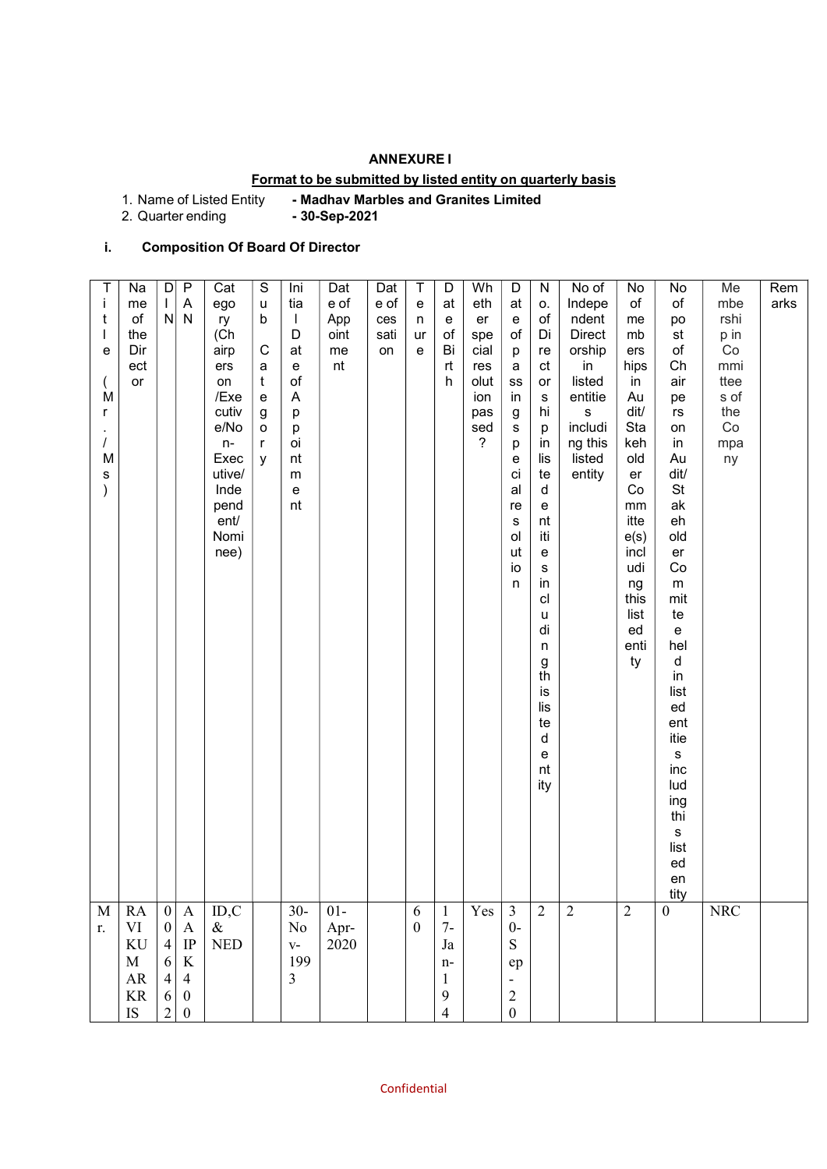# ANNEXURE I

# Format to be submitted by listed entity on quarterly basis

1. Name of Listed Entity - Madhav Marbles and Granites Limited<br>2. Quarter ending - 30-Sep-2021

2. Quarter ending

# i. Composition Of Board Of Director

| T<br>$\mathbf{i}$<br>t<br>e<br>M<br>r<br>$\overline{I}$<br>M<br>s | Na<br>me<br>$\circ$ f<br>the<br>Dir<br>ect<br>or                                | D<br>N                                                                                | $\mathsf{P}$<br>$\boldsymbol{\mathsf{A}}$<br>$\mathsf{N}$                          | Cat<br>ego<br>ry<br>(Ch)<br>airp<br>ers<br>on<br>/Exe<br>cutiv<br>e/No<br>$n-$<br>Exec<br>utive/<br>Inde<br>pend<br>ent/<br>Nomi<br>nee) | $\mathbb S$<br>u<br>b<br>$\mathsf C$<br>a<br>$\mathbf t$<br>$\mathsf{e}% _{t}\left( t\right)$<br>g<br>$\mathsf{o}$<br>$\mathsf{r}$<br>У | Ini<br>tia<br>$\mathbf{I}$<br>D<br>at<br>e<br>of<br>$\boldsymbol{\mathsf{A}}$<br>p<br>p<br>oi<br>nt<br>${\sf m}$<br>${\bf e}$<br>nt | Dat<br>e of<br>App<br>oint<br>me<br>nt | Dat<br>e of<br>ces<br>sati<br>on | T<br>$\mathbf e$<br>n<br>ur<br>e | $\mathsf D$<br>at<br>$\mathbf{e}% _{t}\left  \mathbf{1}\right\rangle$<br>o f<br>Bi<br>rt<br>h | Wh<br>eth<br>er<br>spe<br>cial<br>res<br>olut<br>ion<br>pas<br>sed<br>$\overline{?}$ | D<br>at<br>${\bf e}$<br>$\circ f$<br>p<br>a<br>${\tt SS}$<br>in<br>g<br>s<br>p<br>e<br>ci<br>al<br>re<br>$\mathbf s$<br>ol<br>ut<br>io<br>n | ${\sf N}$<br>О.<br>of<br>Di<br>re<br>ct<br>or<br>s<br>hi<br>р<br>in<br>lis<br>te<br>$\mathsf d$<br>e<br>nt<br>iti<br>e<br>$\mathsf{s}$<br>in<br>cl<br>u<br>di<br>n<br>$\frac{g}{th}$<br>is<br>lis<br>te<br>d<br>e<br>nt<br>ity | No of<br>Indepe<br>ndent<br><b>Direct</b><br>orship<br>in<br>listed<br>entitie<br>$\mathbf S$<br>includi<br>ng this<br>listed<br>entity | No<br>of<br>me<br>mb<br>ers<br>hips<br>in<br>Au<br>dit/<br>Sta<br>keh<br>old<br>er<br>Co<br>$\,mm$<br>itte<br>e(s)<br>incl<br>udi<br>ng<br>this<br>list<br>ed<br>enti<br>ty | No<br>of<br>po<br>st<br>of<br>Ch<br>air<br>pe<br>rs<br>on<br>in<br>Au<br>dit/<br><b>St</b><br>ak<br>eh<br>old<br>er<br>Co<br>m<br>mit<br>te<br>e<br>hel<br>d<br>in<br>list<br>ed<br>ent<br>itie<br>$\mathbf s$<br>inc<br>lud | Me<br>mbe<br>rshi<br>p in<br>Co<br>mmi<br>ttee<br>s of<br>the<br>Co<br>mpa<br>ny | Rem<br>arks |  |
|-------------------------------------------------------------------|---------------------------------------------------------------------------------|---------------------------------------------------------------------------------------|------------------------------------------------------------------------------------|------------------------------------------------------------------------------------------------------------------------------------------|-----------------------------------------------------------------------------------------------------------------------------------------|-------------------------------------------------------------------------------------------------------------------------------------|----------------------------------------|----------------------------------|----------------------------------|-----------------------------------------------------------------------------------------------|--------------------------------------------------------------------------------------|---------------------------------------------------------------------------------------------------------------------------------------------|--------------------------------------------------------------------------------------------------------------------------------------------------------------------------------------------------------------------------------|-----------------------------------------------------------------------------------------------------------------------------------------|-----------------------------------------------------------------------------------------------------------------------------------------------------------------------------|------------------------------------------------------------------------------------------------------------------------------------------------------------------------------------------------------------------------------|----------------------------------------------------------------------------------|-------------|--|
| M<br>r.                                                           | <b>RA</b><br>$\mbox{VI}$<br>$\mathop{\mathrm{KU}}$<br>$\mathbf M$<br>${\sf AR}$ | $\vert 0 \vert$<br>$\boldsymbol{0}$<br>$\vert 4 \vert$<br>$6 \mid$<br>$\vert 4 \vert$ | $\boldsymbol{A}$<br>$\boldsymbol{\rm{A}}$<br>$\rm IP$<br>$\rm K$<br>$\overline{4}$ | ID, C<br>$\&$<br>$\ensuremath{\mathsf{NED}}$                                                                                             |                                                                                                                                         | $30-$<br>$\rm No$<br>$V -$<br>199<br>$\mathfrak{Z}$                                                                                 | $01-$<br>Apr-<br>2020                  |                                  | 6<br>$\boldsymbol{0}$            | $\mathbf{1}$<br>$7-$<br>Ja<br>$n-$<br>$\mathbf{1}$                                            | Yes                                                                                  | $\mathfrak{Z}$<br>$0-$<br>${\bf S}$<br>${\rm e p}$<br>$\qquad \qquad \blacksquare$                                                          | 2                                                                                                                                                                                                                              | $\overline{2}$                                                                                                                          | $\overline{2}$                                                                                                                                                              | ing<br>thi<br>${\bf S}$<br>list<br>ed<br>en<br>tity<br>$\boldsymbol{0}$                                                                                                                                                      | NRC                                                                              |             |  |
|                                                                   | $\rm KR$<br>$\mathbf{IS}$                                                       | $6 \mid$<br>$\overline{2}$                                                            | $\boldsymbol{0}$<br>$\boldsymbol{0}$                                               |                                                                                                                                          |                                                                                                                                         |                                                                                                                                     |                                        |                                  |                                  | 9<br>$\overline{4}$                                                                           |                                                                                      | $\begin{matrix} 2 \\ 0 \end{matrix}$                                                                                                        |                                                                                                                                                                                                                                |                                                                                                                                         |                                                                                                                                                                             |                                                                                                                                                                                                                              |                                                                                  |             |  |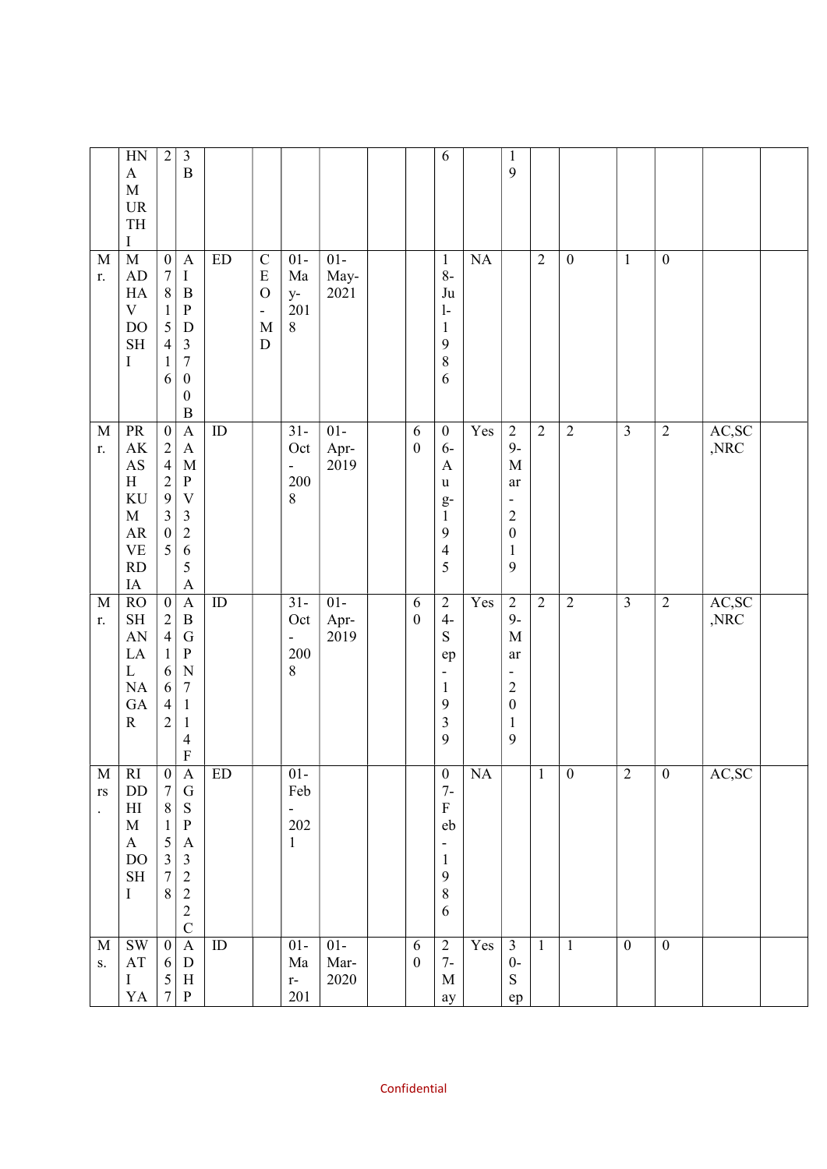|                                                     | HN<br>$\mathbf A$<br>$\mathbf M$<br>$\ensuremath{\mathsf{UR}}\xspace$<br>$\ensuremath{\mathsf{T}}\ensuremath{\mathsf{H}}$<br>Ι | $\sqrt{2}$                                                                                                                           | $\mathfrak{Z}$<br>$\, {\bf B}$                                                                                                                        |                            |                                                                                                      |                                                       |                       |                       | $\sqrt{6}$                                                                                 |                 | $\mathbf{1}$<br>9                                                                                                      |                |                  |                         |                  |                           |  |
|-----------------------------------------------------|--------------------------------------------------------------------------------------------------------------------------------|--------------------------------------------------------------------------------------------------------------------------------------|-------------------------------------------------------------------------------------------------------------------------------------------------------|----------------------------|------------------------------------------------------------------------------------------------------|-------------------------------------------------------|-----------------------|-----------------------|--------------------------------------------------------------------------------------------|-----------------|------------------------------------------------------------------------------------------------------------------------|----------------|------------------|-------------------------|------------------|---------------------------|--|
| $\mathbf M$<br>r.                                   | $\mathbf M$<br>AD<br>HA<br>$\mathbf V$<br><b>DO</b><br>$\operatorname{SH}$<br>I                                                | $\boldsymbol{0}$<br>$\sqrt{ }$<br>$\,8\,$<br>$\mathbf{1}$<br>5<br>$\overline{\mathcal{L}}$<br>$\mathbf{1}$<br>6                      | $\mathbf{A}$<br>I<br>$\boldsymbol{B}$<br>${\bf P}$<br>$\mathbf D$<br>$\sqrt{3}$<br>$\sqrt{ }$<br>$\boldsymbol{0}$<br>$\boldsymbol{0}$<br>$\, {\bf B}$ | $\mathop{\rm ED}\nolimits$ | $\mathbf C$<br>$\mathbf E$<br>$\overline{O}$<br>$\overline{\phantom{0}}$<br>$\mathbf M$<br>${\bf D}$ | $01-$<br>Ma<br>$y-$<br>201<br>$\,8\,$                 | $01-$<br>May-<br>2021 |                       | $\mathbf{1}$<br>$8-$<br>Ju<br>$\mathbf{1}$<br>$\mathbf{1}$<br>9<br>$\,8\,$<br>6            | NA              |                                                                                                                        | $\overline{2}$ | $\boldsymbol{0}$ | $\mathbf{1}$            | $\boldsymbol{0}$ |                           |  |
| $\mathbf M$<br>r.                                   | PR<br>$\mathbf{A}\mathbf{K}$<br>$\mathbf{A}\mathbf{S}$<br>H<br>KU<br>$\mathbf M$<br>${\sf AR}$<br><b>VE</b><br>RD<br>$\rm IA$  | $\boldsymbol{0}$<br>$\begin{array}{c} 2 \\ 4 \end{array}$<br>$\overline{c}$<br>9<br>$\overline{\mathbf{3}}$<br>$\boldsymbol{0}$<br>5 | $\mathbf{A}$<br>$\boldsymbol{\mathsf{A}}$<br>$\mathbf M$<br>${\bf P}$<br>$\mathbf V$<br>$\mathfrak{Z}$<br>$\overline{c}$<br>6<br>5<br>$\mathbf{A}$    | ${\rm ID}$                 |                                                                                                      | $31 -$<br>Oct<br>$\overline{\phantom{0}}$<br>200<br>8 | $01-$<br>Apr-<br>2019 | 6<br>$\boldsymbol{0}$ | $\boldsymbol{0}$<br>$6-$<br>A<br>u<br>$g-$<br>$\mathbf{1}$<br>9<br>$\overline{4}$<br>5     | Yes             | $\sqrt{2}$<br>$9-$<br>$\mathbf M$<br>ar<br>$\overline{a}$<br>$\overline{c}$<br>$\boldsymbol{0}$<br>$\mathbf{1}$<br>9   | $\overline{2}$ | $\overline{2}$   | $\overline{\mathbf{3}}$ | $\overline{2}$   | AC,SC<br>$,\!\!{\rm NRC}$ |  |
| $\mathbf M$<br>r.                                   | RO<br>$\operatorname{SH}$<br>AN<br>LA<br>$\mathbf L$<br>NA<br>GA<br>${\bf R}$                                                  | $\overline{0}$<br>$\overline{c}$<br>$\overline{4}$<br>$\mathbf{1}$<br>$\sqrt{6}$<br>$\sqrt{6}$<br>$\overline{4}$<br>$\overline{c}$   | $\mathbf{A}$<br>$\, {\bf B}$<br>${\bf G}$<br>${\bf P}$<br>$\mathbf N$<br>$\boldsymbol{7}$<br>$\mathbf{1}$<br>$\mathbf{1}$<br>4<br>F                   | ID                         |                                                                                                      | $31 -$<br>Oct<br>200<br>8                             | $01-$<br>Apr-<br>2019 | 6<br>$\boldsymbol{0}$ | $\sqrt{2}$<br>$4-$<br>${\mathbf S}$<br>ep<br>$\overline{a}$<br>$\mathbf{1}$<br>9<br>3<br>9 | Yes             | $\overline{2}$<br>$9-$<br>$\mathbf M$<br>ar<br>۳<br>$\overline{2}$<br>$\boldsymbol{0}$<br>$\mathbf{1}$<br>$\mathbf{9}$ | $\overline{2}$ | $\overline{2}$   | $\overline{3}$          | $\overline{2}$   | AC,SC<br>$,\!{\rm NRC}$   |  |
| M<br>$\mathbf{r}\mathbf{s}$<br>$\ddot{\phantom{a}}$ | <sub>RI</sub><br>DD<br>$\mathop{\rm HI}\nolimits$<br>$\mathbf M$<br>$\bf{A}$<br>$\rm DO$<br>$\operatorname{SH}$<br>$\bf{I}$    | $\bf{0}$<br>$\boldsymbol{7}$<br>$8\,$<br>$\mathbf{1}$<br>5<br>$\overline{3}$<br>$\boldsymbol{7}$<br>$8\,$                            | $\mathbf{A}$<br>${\bf G}$<br>${\bf S}$<br>${\bf P}$<br>$\boldsymbol{A}$<br>$\mathfrak{Z}$<br>$\sqrt{2}$<br>$\sqrt{2}$<br>$\sqrt{2}$<br>$\overline{C}$ | ED                         |                                                                                                      | $01 -$<br>Feb<br>÷,<br>202<br>$\mathbf{1}$            |                       |                       | $\boldsymbol{0}$<br>$7-$<br>${\bf F}$<br>eb<br>-<br>$\mathbf{1}$<br>9<br>$\,8\,$<br>6      | NA              |                                                                                                                        | $\mathbf{1}$   | $\boldsymbol{0}$ | 2                       | $\boldsymbol{0}$ | AC, SC                    |  |
| $\mathbf M$<br>S.                                   | $\mathrm{SW}$<br>$\mathbf{A}\mathbf{T}$<br>$\rm I$<br>YA                                                                       | $\overline{0}$<br>6<br>$\mathfrak{S}$<br>$\overline{7}$                                                                              | $\boldsymbol{\rm{A}}$<br>${\bf D}$<br>$\, {\rm H}$<br>$\, {\bf P}$                                                                                    | $\rm ID$                   |                                                                                                      | $01-$<br>$\rm{Ma}$<br>$\mathbf{r}$ -<br>201           | $01-$<br>Mar-<br>2020 | 6<br>$\boldsymbol{0}$ | $\overline{2}$<br>$7-$<br>$\mathbf M$<br>ay                                                | $Y_{\text{es}}$ | $\mathfrak{Z}$<br>$0-$<br>${\bf S}$<br>ep                                                                              | $\mathbf{1}$   | $\mathbf{1}$     | $\mathbf{0}$            | $\mathbf{0}$     |                           |  |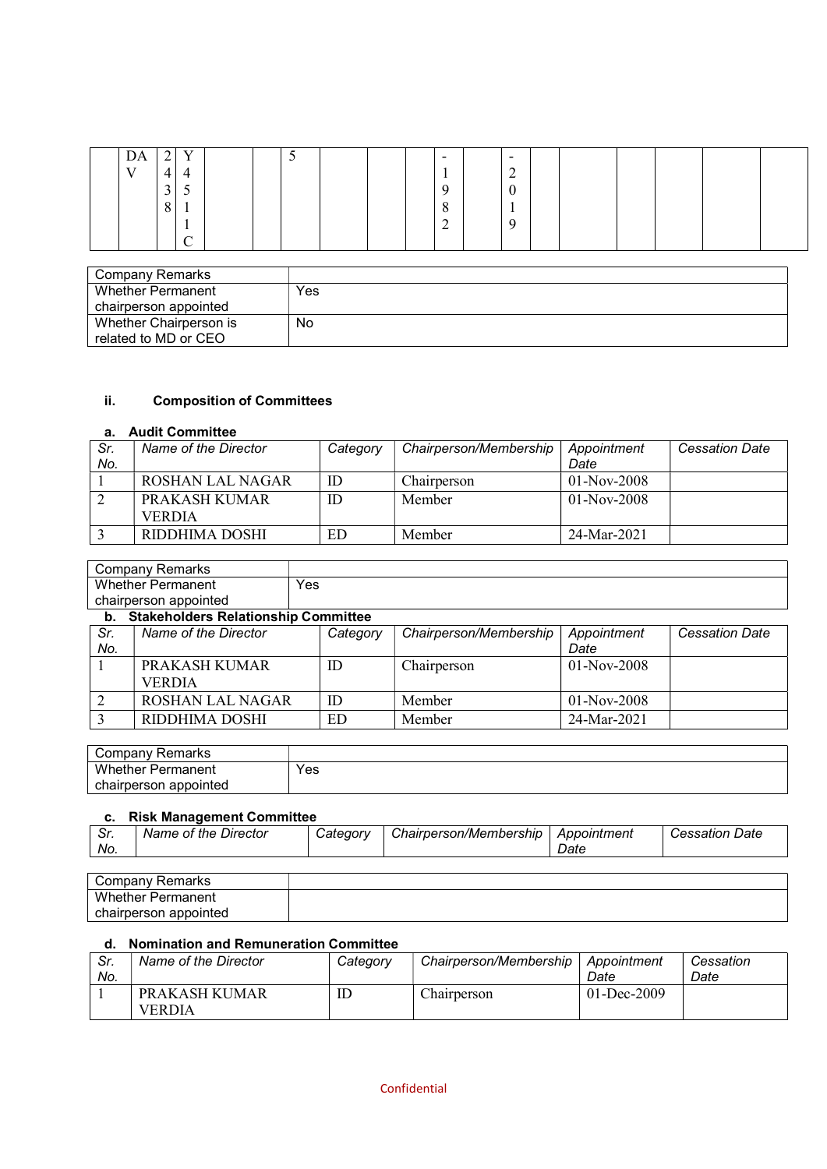| DA           | ◠<br>∸ | $\mathbf{V}$    |  | ັ |  | $\overline{\phantom{0}}$ | $\overline{\phantom{0}}$ |  |  |  |
|--------------|--------|-----------------|--|---|--|--------------------------|--------------------------|--|--|--|
| $\mathbf{V}$ | 4      | 4               |  |   |  |                          | $\sim$<br>$\overline{ }$ |  |  |  |
|              | 3      | ◡               |  |   |  | a                        | $\curvearrowright$<br>0  |  |  |  |
|              | 8      | $\mathbf{r}$    |  |   |  | $\Omega$<br>$\circ$      | $\mathbf{r}$             |  |  |  |
|              |        | л.              |  |   |  | ◠<br>∠                   | Q                        |  |  |  |
|              |        | $\sqrt{ }$<br>◡ |  |   |  |                          |                          |  |  |  |

| Company Remarks        |     |
|------------------------|-----|
| Whether Permanent      | Yes |
| chairperson appointed  |     |
| Whether Chairperson is | No  |
| related to MD or CEO   |     |

## ii. Composition of Committees

# a. Audit Committee

| Sr. | Name of the Director | Category | Chairperson/Membership | Appointment   | <b>Cessation Date</b> |
|-----|----------------------|----------|------------------------|---------------|-----------------------|
| No. |                      |          |                        | Date          |                       |
|     | ROSHAN LAL NAGAR     | ID       | Chairperson            | $01-Nov-2008$ |                       |
|     | PRAKASH KUMAR        | ID       | Member                 | $01-Nov-2008$ |                       |
|     | <b>VERDIA</b>        |          |                        |               |                       |
|     | RIDDHIMA DOSHI       | ED       | Member                 | 24-Mar-2021   |                       |

|     | <b>Company Remarks</b>                     |          |                        |               |                       |
|-----|--------------------------------------------|----------|------------------------|---------------|-----------------------|
|     | <b>Whether Permanent</b>                   | Yes      |                        |               |                       |
|     | chairperson appointed                      |          |                        |               |                       |
| b.  | <b>Stakeholders Relationship Committee</b> |          |                        |               |                       |
| Sr. | Name of the Director                       | Category | Chairperson/Membership | Appointment   | <b>Cessation Date</b> |
| No. |                                            |          |                        | Date          |                       |
|     | PRAKASH KUMAR                              | ID       | Chairperson            | $01-Nov-2008$ |                       |
|     | <b>VERDIA</b>                              |          |                        |               |                       |
|     | <b>ROSHAN LAL NAGAR</b>                    | ID       | Member                 | $01-Nov-2008$ |                       |

| Company '<br>∵Remarks    |     |
|--------------------------|-----|
| <b>Whether Permanent</b> | Yes |
| chairperson appointed    |     |

3 RIDDHIMA DOSHI ED Member 24-Mar-2021

### c. Risk Management Committee

|            | -----                   |                      |                        |             |                   |
|------------|-------------------------|----------------------|------------------------|-------------|-------------------|
| c.<br>. ات | Director<br>Name of the | $\cup$ ategor $\vee$ | Chairperson/Membership | Appointment | Date<br>Cessation |
| No.        |                         |                      |                        | Date        |                   |
|            |                         |                      |                        |             |                   |

| Company Remarks          |  |
|--------------------------|--|
| <b>Whether Permanent</b> |  |
| chairperson appointed    |  |

# d. Nomination and Remuneration Committee

| Sr.<br>No. | Name of the Director    | Category | Chairperson/Membership | Appointment<br>Date | Cessation<br>Date |
|------------|-------------------------|----------|------------------------|---------------------|-------------------|
|            | PRAKASH KUMAR<br>VERDIA | ID       | Chairperson            | $01 - Dec-2009$     |                   |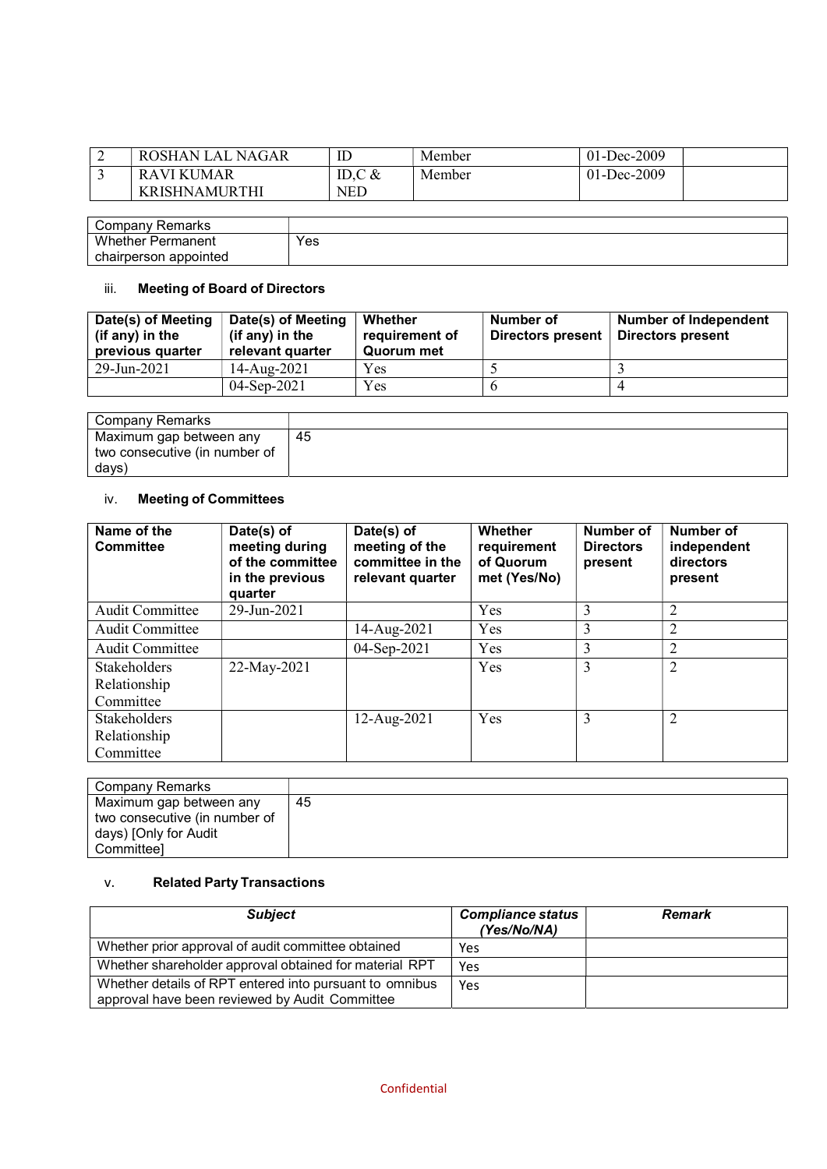| - | ROSHAN LAL<br>NAGAR | ᄔ          | Member | 01-Dec-2009 |  |
|---|---------------------|------------|--------|-------------|--|
|   | RAVI KUMAR          | ID.C $&$   | Member | 01-Dec-2009 |  |
|   | KRISHNAMURTHI       | <b>NED</b> |        |             |  |

| $\sqrt{2}$<br>≺emarks<br>mmnn'<br>i ival i '<br>וטש |     |
|-----------------------------------------------------|-----|
| Whether<br>Permanent                                | Yes |
| chairperson<br>appointed                            |     |

# iii. Meeting of Board of Directors

| Date(s) of Meeting<br>(if any) in the<br>previous quarter | Date(s) of Meeting<br>(if any) in the<br>relevant quarter | Whether<br>requirement of<br>Quorum met | Number of<br>Directors present | Number of Independent<br><b>Directors present</b> |
|-----------------------------------------------------------|-----------------------------------------------------------|-----------------------------------------|--------------------------------|---------------------------------------------------|
| 29-Jun-2021                                               | 14-Aug-2021                                               | Yes                                     |                                |                                                   |
|                                                           | $04-Sen-2021$                                             | Yes                                     |                                |                                                   |

| Company Remarks                                                   |    |
|-------------------------------------------------------------------|----|
| Maximum gap between any<br>two consecutive (in number of<br>days) | 45 |

# iv. Meeting of Committees

| Name of the<br><b>Committee</b> | Date(s) of<br>meeting during<br>of the committee<br>in the previous<br>quarter | Date(s) of<br>meeting of the<br>committee in the<br>relevant quarter | Whether<br>requirement<br>of Quorum<br>met (Yes/No) | Number of<br><b>Directors</b><br>present | Number of<br>independent<br>directors<br>present |
|---------------------------------|--------------------------------------------------------------------------------|----------------------------------------------------------------------|-----------------------------------------------------|------------------------------------------|--------------------------------------------------|
| <b>Audit Committee</b>          | 29-Jun-2021                                                                    |                                                                      | Yes                                                 | 3                                        | $\overline{2}$                                   |
| Audit Committee                 |                                                                                | 14-Aug-2021                                                          | Yes                                                 | 3                                        | $\overline{2}$                                   |
| Audit Committee                 |                                                                                | 04-Sep-2021                                                          | <b>Yes</b>                                          | 3                                        | $\overline{2}$                                   |
| Stakeholders                    | 22-May-2021                                                                    |                                                                      | Yes                                                 | 3                                        | $\overline{2}$                                   |
| Relationship                    |                                                                                |                                                                      |                                                     |                                          |                                                  |
| Committee                       |                                                                                |                                                                      |                                                     |                                          |                                                  |
| <b>Stakeholders</b>             |                                                                                | 12-Aug-2021                                                          | Yes                                                 | 3                                        | $\overline{2}$                                   |
| Relationship                    |                                                                                |                                                                      |                                                     |                                          |                                                  |
| Committee                       |                                                                                |                                                                      |                                                     |                                          |                                                  |

| Company Remarks               |    |
|-------------------------------|----|
| Maximum gap between any       | 45 |
| two consecutive (in number of |    |
| days) [Only for Audit         |    |
| Committeel                    |    |

# v. Related Party Transactions

| <b>Subject</b>                                                                                            | <b>Compliance status</b><br>(Yes/No/NA) | <b>Remark</b> |
|-----------------------------------------------------------------------------------------------------------|-----------------------------------------|---------------|
| Whether prior approval of audit committee obtained                                                        | Yes                                     |               |
| Whether shareholder approval obtained for material RPT                                                    | Yes                                     |               |
| Whether details of RPT entered into pursuant to omnibus<br>approval have been reviewed by Audit Committee | Yes                                     |               |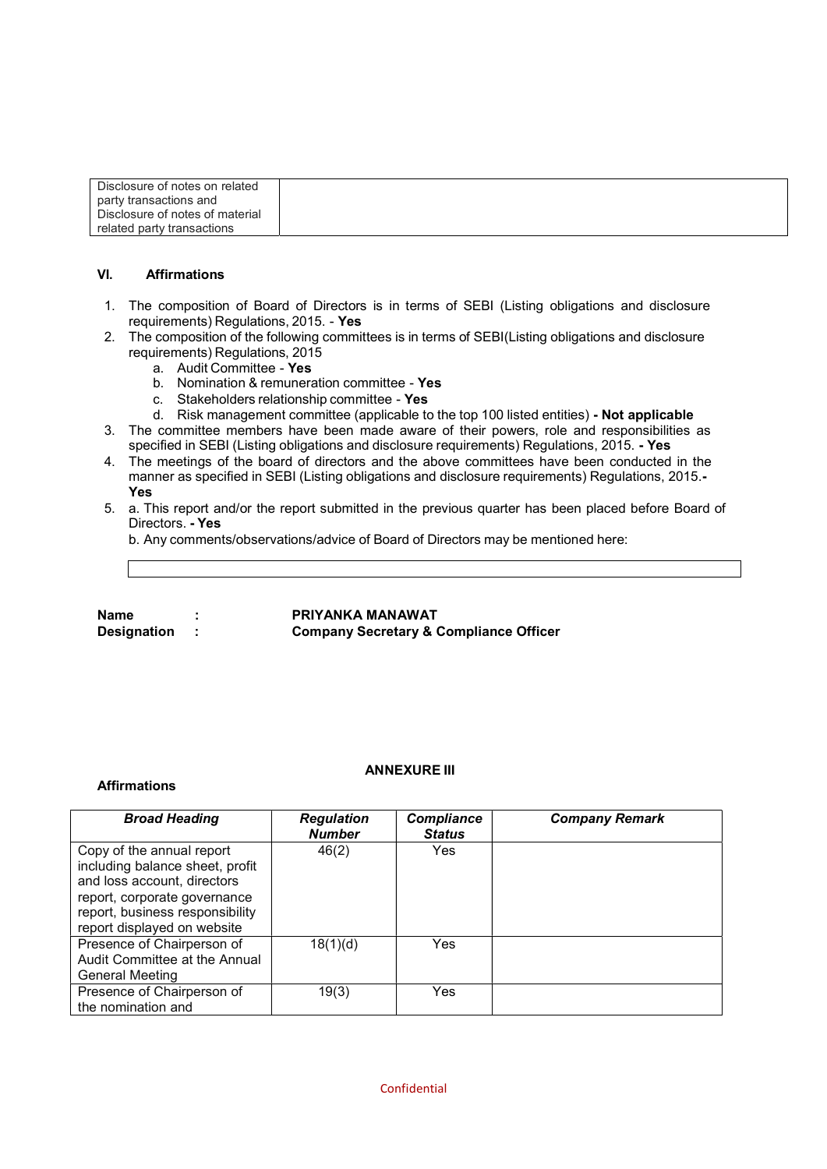| Disclosure of notes on related  |  |
|---------------------------------|--|
| party transactions and          |  |
| Disclosure of notes of material |  |
| related party transactions      |  |

#### VI. Affirmations

- 1. The composition of Board of Directors is in terms of SEBI (Listing obligations and disclosure requirements) Regulations, 2015. - Yes
- 2. The composition of the following committees is in terms of SEBI(Listing obligations and disclosure requirements) Regulations, 2015
	- a. Audit Committee Yes
	- b. Nomination & remuneration committee Yes
	- c. Stakeholders relationship committee Yes
	- d. Risk management committee (applicable to the top 100 listed entities) Not applicable
- 3. The committee members have been made aware of their powers, role and responsibilities as specified in SEBI (Listing obligations and disclosure requirements) Regulations, 2015. - Yes
- 4. The meetings of the board of directors and the above committees have been conducted in the manner as specified in SEBI (Listing obligations and disclosure requirements) Regulations, 2015.- Yes
- 5. a. This report and/or the report submitted in the previous quarter has been placed before Board of Directors. - Yes

b. Any comments/observations/advice of Board of Directors may be mentioned here:

Name : PRIYANKA MANAWAT Designation : Company Secretary & Compliance Officer

#### Affirmations

#### ANNEXURE III

| <b>Broad Heading</b>                                                                                                                                                                          | <b>Regulation</b><br><b>Number</b> | <b>Compliance</b><br><b>Status</b> | <b>Company Remark</b> |
|-----------------------------------------------------------------------------------------------------------------------------------------------------------------------------------------------|------------------------------------|------------------------------------|-----------------------|
| Copy of the annual report<br>including balance sheet, profit<br>and loss account, directors<br>report, corporate governance<br>report, business responsibility<br>report displayed on website | 46(2)                              | <b>Yes</b>                         |                       |
| Presence of Chairperson of<br>Audit Committee at the Annual<br><b>General Meeting</b>                                                                                                         | 18(1)(d)                           | Yes                                |                       |
| Presence of Chairperson of<br>the nomination and                                                                                                                                              | 19(3)                              | Yes                                |                       |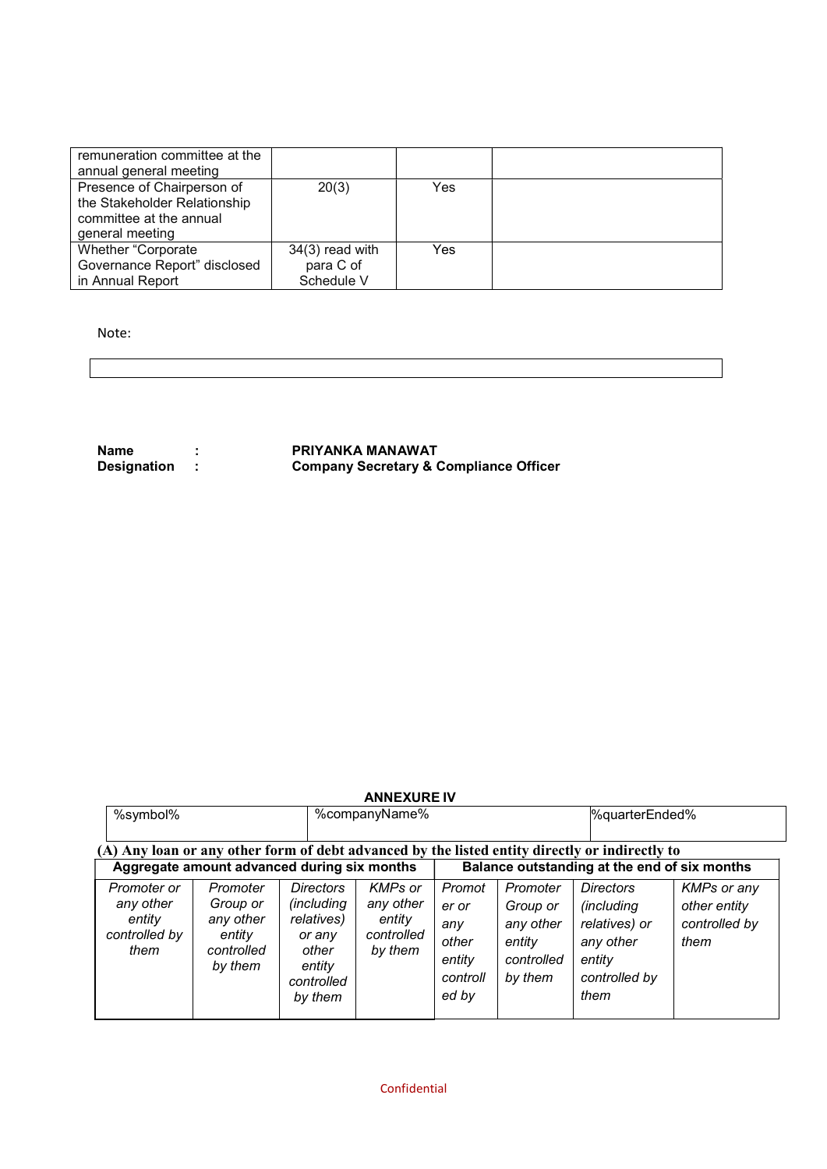| remuneration committee at the |                   |     |  |
|-------------------------------|-------------------|-----|--|
| annual general meeting        |                   |     |  |
| Presence of Chairperson of    | 20(3)             | Yes |  |
| the Stakeholder Relationship  |                   |     |  |
| committee at the annual       |                   |     |  |
| general meeting               |                   |     |  |
| Whether "Corporate            | $34(3)$ read with | Yes |  |
| Governance Report" disclosed  | para C of         |     |  |
| in Annual Report              | Schedule V        |     |  |

Note:

Name : PRIYANKA MANAWAT Designation : Company Secretary & Compliance Officer

### ANNEXURE IV

| %symbol%                                                                                                                                      |                                                                      |                                                                                             | %companyName%                                                  |                                                                |                                                                      | %quarterEnded%                                                                                          |                                                             |
|-----------------------------------------------------------------------------------------------------------------------------------------------|----------------------------------------------------------------------|---------------------------------------------------------------------------------------------|----------------------------------------------------------------|----------------------------------------------------------------|----------------------------------------------------------------------|---------------------------------------------------------------------------------------------------------|-------------------------------------------------------------|
| (A) Any loan or any other form of debt advanced by the listed entity directly or indirectly to<br>Aggregate amount advanced during six months |                                                                      |                                                                                             |                                                                |                                                                |                                                                      | Balance outstanding at the end of six months                                                            |                                                             |
| Promoter or<br>any other<br>entity<br>controlled by<br>them                                                                                   | Promoter<br>Group or<br>any other<br>entity<br>controlled<br>by them | Directors<br>(including<br>relatives)<br>or any<br>other<br>entity<br>controlled<br>by them | <b>KMPs</b> or<br>any other<br>entity<br>controlled<br>by them | Promot<br>er or<br>any<br>other<br>entity<br>controll<br>ed by | Promoter<br>Group or<br>any other<br>entity<br>controlled<br>by them | <b>Directors</b><br><i>(including)</i><br>relatives) or<br>any other<br>entity<br>controlled by<br>them | <b>KMPs or any</b><br>other entity<br>controlled by<br>them |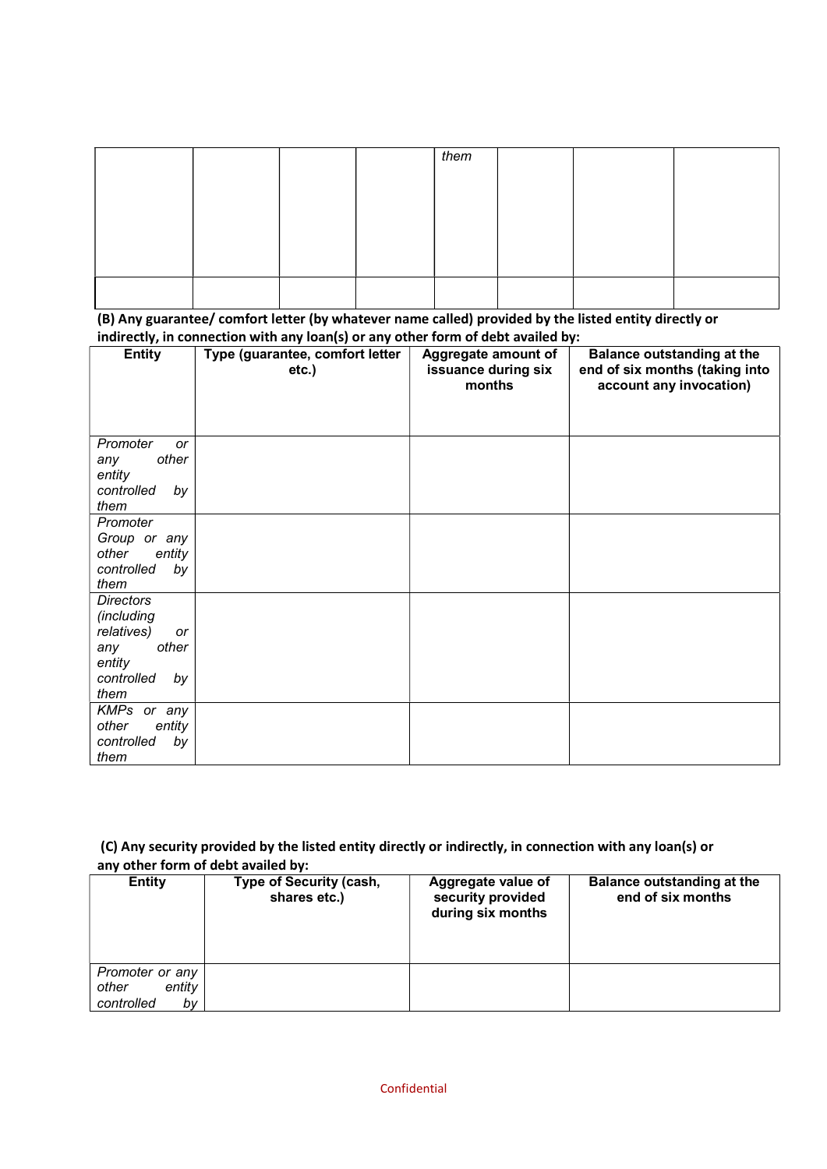|  | them |  |
|--|------|--|
|  |      |  |
|  |      |  |
|  |      |  |
|  |      |  |
|  |      |  |
|  |      |  |

(B) Any guarantee/ comfort letter (by whatever name called) provided by the listed entity directly or indirectly, in connection with any loan(s) or any other form of debt availed by:

| ,,<br><b>Entity</b>                | $\ddot{\phantom{1}}$<br>Type (guarantee, comfort letter<br>$etc.$ ) | Aggregate amount of<br>issuance during six<br>months | <b>Balance outstanding at the</b><br>end of six months (taking into<br>account any invocation) |
|------------------------------------|---------------------------------------------------------------------|------------------------------------------------------|------------------------------------------------------------------------------------------------|
|                                    |                                                                     |                                                      |                                                                                                |
| Promoter<br>or                     |                                                                     |                                                      |                                                                                                |
| other<br>any                       |                                                                     |                                                      |                                                                                                |
| entity<br>controlled<br>by<br>them |                                                                     |                                                      |                                                                                                |
| Promoter                           |                                                                     |                                                      |                                                                                                |
| Group or any                       |                                                                     |                                                      |                                                                                                |
| other<br>entity                    |                                                                     |                                                      |                                                                                                |
| controlled<br>by<br>them           |                                                                     |                                                      |                                                                                                |
| <b>Directors</b>                   |                                                                     |                                                      |                                                                                                |
| (including<br>relatives)<br>or     |                                                                     |                                                      |                                                                                                |
| other<br>any                       |                                                                     |                                                      |                                                                                                |
| entity                             |                                                                     |                                                      |                                                                                                |
| controlled<br>by<br>them           |                                                                     |                                                      |                                                                                                |
| KMPs or any                        |                                                                     |                                                      |                                                                                                |
| other<br>entity                    |                                                                     |                                                      |                                                                                                |
| controlled<br>by<br>them           |                                                                     |                                                      |                                                                                                |

## (C) Any security provided by the listed entity directly or indirectly, in connection with any loan(s) or any other form of debt availed by:

| <b>Entity</b>                                          | <b>Type of Security (cash,</b><br>shares etc.) | Aggregate value of<br>security provided<br>during six months | <b>Balance outstanding at the</b><br>end of six months |
|--------------------------------------------------------|------------------------------------------------|--------------------------------------------------------------|--------------------------------------------------------|
| Promoter or any<br>entity<br>other<br>controlled<br>bv |                                                |                                                              |                                                        |